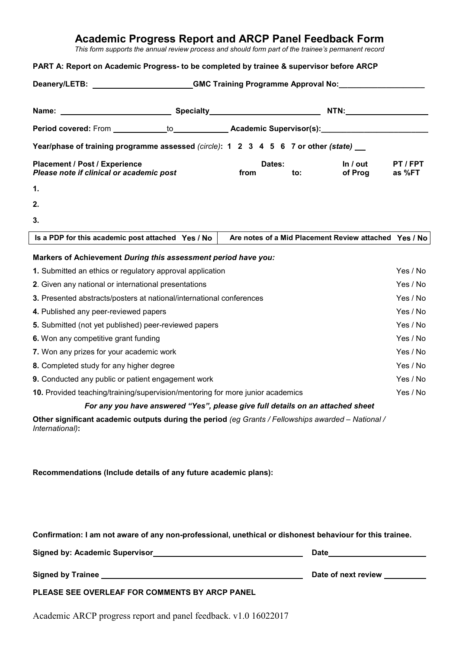## **Academic Progress Report and ARCP Panel Feedback Form**

*This form supports the annual review process and should form part of the trainee's permanent record*

## **PART A: Report on Academic Progress- to be completed by trainee & supervisor before ARCP**

| Deanery/LETB: _________________________GMC Training Programme Approval No:______________             |  |                |     |                                                       |                  |
|------------------------------------------------------------------------------------------------------|--|----------------|-----|-------------------------------------------------------|------------------|
|                                                                                                      |  |                |     |                                                       |                  |
| Period covered: From ___________to___________________Academic Supervisor(s):________________________ |  |                |     |                                                       |                  |
| Year/phase of training programme assessed (circle): 1 2 3 4 5 6 7 or other (state)                   |  |                |     |                                                       |                  |
| Placement / Post / Experience<br>Please note if clinical or academic post                            |  | Dates:<br>from | to: | In $/$ out<br>of Prog                                 | PT/FPT<br>as %FT |
| $\mathbf 1$ .                                                                                        |  |                |     |                                                       |                  |
| 2.                                                                                                   |  |                |     |                                                       |                  |
| 3.                                                                                                   |  |                |     |                                                       |                  |
| Is a PDP for this academic post attached Yes / No                                                    |  |                |     | Are notes of a Mid Placement Review attached Yes / No |                  |
| Markers of Achievement During this assessment period have you:                                       |  |                |     |                                                       |                  |
| 1. Submitted an ethics or regulatory approval application                                            |  |                |     |                                                       | Yes / No         |
| 2. Given any national or international presentations                                                 |  |                |     |                                                       | Yes / No         |
| 3. Presented abstracts/posters at national/international conferences                                 |  |                |     |                                                       | Yes / No         |
| 4. Published any peer-reviewed papers                                                                |  |                |     |                                                       | Yes / No         |
| 5. Submitted (not yet published) peer-reviewed papers                                                |  |                |     |                                                       | Yes / No         |
| 6. Won any competitive grant funding                                                                 |  |                |     |                                                       | Yes / No         |
| 7. Won any prizes for your academic work                                                             |  |                |     |                                                       | Yes / No         |
| 8. Completed study for any higher degree                                                             |  |                |     |                                                       | Yes / No         |
| 9. Conducted any public or patient engagement work                                                   |  |                |     |                                                       | Yes / No         |
| 10. Provided teaching/training/supervision/mentoring for more junior academics                       |  |                |     | Yes / No                                              |                  |
| For any you have answered "Yes", please give full details on an attached sheet                       |  |                |     |                                                       |                  |
| Other significant academic outputs during the period (eq Grants / Fellowships awarded – National /   |  |                |     |                                                       |                  |

**Other significant academic outputs during the period** *(eg Grants / Fellowships awarded – National / International)***:**

**Recommendations (Include details of any future academic plans):**

|                                | Confirmation: I am not aware of any non-professional, unethical or dishonest behaviour for this trainee. |  |
|--------------------------------|----------------------------------------------------------------------------------------------------------|--|
| Cianod but Acodemic Cupenticer | nato                                                                                                     |  |

| Signed by: Academic Supervisor                 | υаτе                |
|------------------------------------------------|---------------------|
| <b>Signed by Trainee</b>                       | Date of next review |
| PLEASE SEE OVERLEAF FOR COMMENTS BY ARCP PANEL |                     |

Academic ARCP progress report and panel feedback. v1.0 16022017